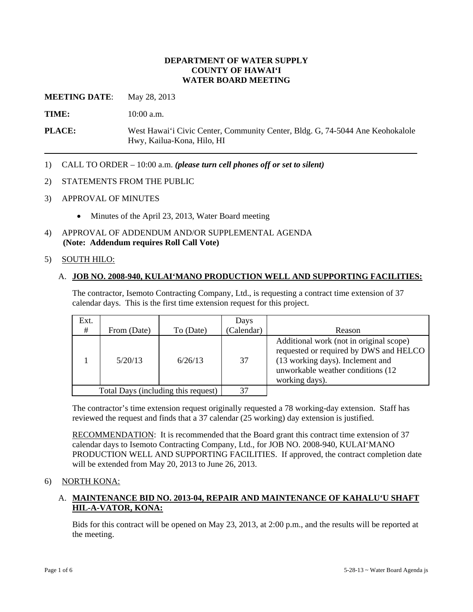#### **DEPARTMENT OF WATER SUPPLY COUNTY OF HAWAI'I WATER BOARD MEETING**

**MEETING DATE:** May 28, 2013

**TIME:** 10:00 a.m.

**PLACE:** West Hawai'i Civic Center, Community Center, Bldg. G, 74-5044 Ane Keohokalole Hwy, Kailua-Kona, Hilo, HI

- 1) CALL TO ORDER 10:00 a.m. *(please turn cell phones off or set to silent)*
- 2) STATEMENTS FROM THE PUBLIC
- 3) APPROVAL OF MINUTES
	- Minutes of the April 23, 2013, Water Board meeting
- 4) APPROVAL OF ADDENDUM AND/OR SUPPLEMENTAL AGENDA **(Note: Addendum requires Roll Call Vote)**

#### 5) SOUTH HILO:

#### A. **JOB NO. 2008-940, KULAI'MANO PRODUCTION WELL AND SUPPORTING FACILITIES:**

The contractor, Isemoto Contracting Company, Ltd., is requesting a contract time extension of 37 calendar days. This is the first time extension request for this project.

| Ext. |             |                                     | Days       |                                                                                                                                                                               |
|------|-------------|-------------------------------------|------------|-------------------------------------------------------------------------------------------------------------------------------------------------------------------------------|
| #    | From (Date) | To (Date)                           | (Calendar) | Reason                                                                                                                                                                        |
|      | 5/20/13     | 6/26/13                             | 37         | Additional work (not in original scope)<br>requested or required by DWS and HELCO<br>(13 working days). Inclement and<br>unworkable weather conditions (12)<br>working days). |
|      |             | Total Days (including this request) | 37         |                                                                                                                                                                               |

The contractor's time extension request originally requested a 78 working-day extension. Staff has reviewed the request and finds that a 37 calendar (25 working) day extension is justified.

RECOMMENDATION: It is recommended that the Board grant this contract time extension of 37 calendar days to Isemoto Contracting Company, Ltd., for JOB NO. 2008-940, KULAI'MANO PRODUCTION WELL AND SUPPORTING FACILITIES. If approved, the contract completion date will be extended from May 20, 2013 to June 26, 2013.

#### 6) NORTH KONA:

## A. **MAINTENANCE BID NO. 2013-04, REPAIR AND MAINTENANCE OF KAHALU'U SHAFT HIL-A-VATOR, KONA:**

Bids for this contract will be opened on May 23, 2013, at 2:00 p.m., and the results will be reported at the meeting.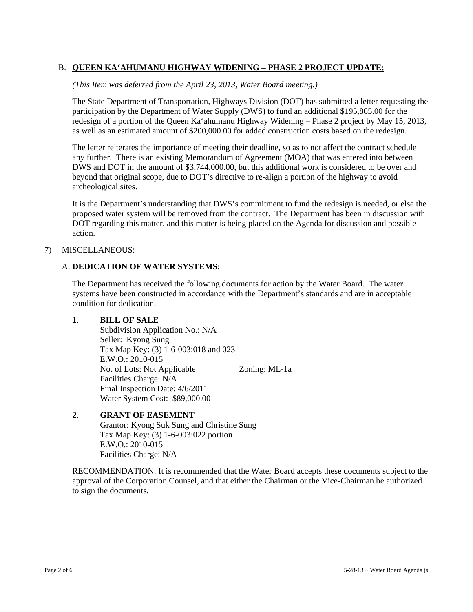# B. **QUEEN KA'AHUMANU HIGHWAY WIDENING – PHASE 2 PROJECT UPDATE:**

*(This Item was deferred from the April 23, 2013, Water Board meeting.)* 

The State Department of Transportation, Highways Division (DOT) has submitted a letter requesting the participation by the Department of Water Supply (DWS) to fund an additional \$195,865.00 for the redesign of a portion of the Queen Ka'ahumanu Highway Widening – Phase 2 project by May 15, 2013, as well as an estimated amount of \$200,000.00 for added construction costs based on the redesign.

The letter reiterates the importance of meeting their deadline, so as to not affect the contract schedule any further. There is an existing Memorandum of Agreement (MOA) that was entered into between DWS and DOT in the amount of \$3,744,000.00, but this additional work is considered to be over and beyond that original scope, due to DOT's directive to re-align a portion of the highway to avoid archeological sites.

It is the Department's understanding that DWS's commitment to fund the redesign is needed, or else the proposed water system will be removed from the contract. The Department has been in discussion with DOT regarding this matter, and this matter is being placed on the Agenda for discussion and possible action.

#### 7) MISCELLANEOUS:

#### A. **DEDICATION OF WATER SYSTEMS:**

The Department has received the following documents for action by the Water Board. The water systems have been constructed in accordance with the Department's standards and are in acceptable condition for dedication.

#### **1. BILL OF SALE**

 Subdivision Application No.: N/A Seller: Kyong Sung Tax Map Key: (3) 1-6-003:018 and 023 E.W.O.: 2010-015 No. of Lots: Not Applicable Zoning: ML-1a Facilities Charge: N/A Final Inspection Date: 4/6/2011 Water System Cost: \$89,000.00

# **2. GRANT OF EASEMENT**

 Grantor: Kyong Suk Sung and Christine Sung Tax Map Key: (3) 1-6-003:022 portion E.W.O.: 2010-015 Facilities Charge: N/A

RECOMMENDATION: It is recommended that the Water Board accepts these documents subject to the approval of the Corporation Counsel, and that either the Chairman or the Vice-Chairman be authorized to sign the documents.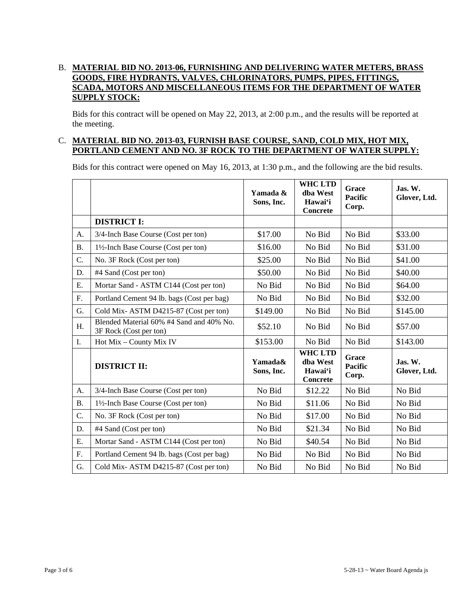## B. **MATERIAL BID NO. 2013-06, FURNISHING AND DELIVERING WATER METERS, BRASS GOODS, FIRE HYDRANTS, VALVES, CHLORINATORS, PUMPS, PIPES, FITTINGS, SCADA, MOTORS AND MISCELLANEOUS ITEMS FOR THE DEPARTMENT OF WATER SUPPLY STOCK:**

Bids for this contract will be opened on May 22, 2013, at 2:00 p.m., and the results will be reported at the meeting.

#### C. **MATERIAL BID NO. 2013-03, FURNISH BASE COURSE, SAND, COLD MIX, HOT MIX, PORTLAND CEMENT AND NO. 3F ROCK TO THE DEPARTMENT OF WATER SUPPLY:**

Bids for this contract were opened on May 16, 2013, at 1:30 p.m., and the following are the bid results.

|           |                                                                    | Yamada &<br>Sons, Inc. | <b>WHC LTD</b><br>dha West<br>Hawai'i<br><b>Concrete</b> | Grace<br><b>Pacific</b><br>Corp. | Jas. W.<br>Glover, Ltd. |
|-----------|--------------------------------------------------------------------|------------------------|----------------------------------------------------------|----------------------------------|-------------------------|
|           | <b>DISTRICT I:</b>                                                 |                        |                                                          |                                  |                         |
| A.        | 3/4-Inch Base Course (Cost per ton)                                | \$17.00                | No Bid                                                   | No Bid                           | \$33.00                 |
| <b>B.</b> | 1½-Inch Base Course (Cost per ton)                                 | \$16.00                | No Bid                                                   | No Bid                           | \$31.00                 |
| C.        | No. 3F Rock (Cost per ton)                                         | \$25.00                | No Bid                                                   | No Bid                           | \$41.00                 |
| D.        | #4 Sand (Cost per ton)                                             | \$50.00                | No Bid                                                   | No Bid                           | \$40.00                 |
| E.        | Mortar Sand - ASTM C144 (Cost per ton)                             | No Bid                 | No Bid                                                   | No Bid                           | \$64.00                 |
| F.        | Portland Cement 94 lb. bags (Cost per bag)                         | No Bid                 | No Bid                                                   | No Bid                           | \$32.00                 |
| G.        | Cold Mix-ASTM D4215-87 (Cost per ton)                              | \$149.00               | No Bid                                                   | No Bid                           | \$145.00                |
| H.        | Blended Material 60% #4 Sand and 40% No.<br>3F Rock (Cost per ton) | \$52.10                | No Bid                                                   | No Bid                           | \$57.00                 |
| I.        | Hot Mix - County Mix IV                                            | \$153.00               | No Bid                                                   | No Bid                           | \$143.00                |
|           | <b>DISTRICT II:</b>                                                | Yamada&<br>Sons, Inc.  | <b>WHC LTD</b><br>dba West<br>Hawai'i<br><b>Concrete</b> | Grace<br><b>Pacific</b><br>Corp. | Jas. W.<br>Glover, Ltd. |
| A.        | 3/4-Inch Base Course (Cost per ton)                                | No Bid                 | \$12.22                                                  | No Bid                           | No Bid                  |
| <b>B.</b> | 1½-Inch Base Course (Cost per ton)                                 | No Bid                 | \$11.06                                                  | No Bid                           | No Bid                  |
| C.        | No. 3F Rock (Cost per ton)                                         | No Bid                 | \$17.00                                                  | No Bid                           | No Bid                  |
| D.        | #4 Sand (Cost per ton)                                             | No Bid                 | \$21.34                                                  | No Bid                           | No Bid                  |
| Ε.        | Mortar Sand - ASTM C144 (Cost per ton)                             | No Bid                 | \$40.54                                                  | No Bid                           | No Bid                  |
| F.        | Portland Cement 94 lb. bags (Cost per bag)                         | No Bid                 | No Bid                                                   | No Bid                           | No Bid                  |
| G.        | Cold Mix-ASTM D4215-87 (Cost per ton)                              | No Bid                 | No Bid                                                   | No Bid                           | No Bid                  |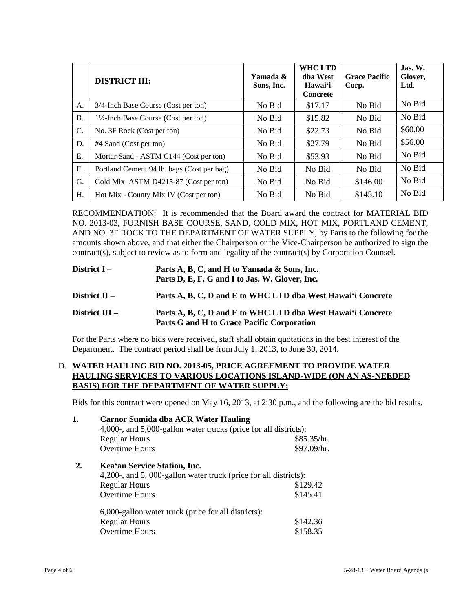|                | <b>DISTRICT III:</b>                       | Yamada &<br>Sons, Inc. | <b>WHC LTD</b><br>dha West<br>Hawai'i<br><b>Concrete</b> | <b>Grace Pacific</b><br>Corp. | Jas. W.<br>Glover,<br>Ltd. |
|----------------|--------------------------------------------|------------------------|----------------------------------------------------------|-------------------------------|----------------------------|
| A.             | 3/4-Inch Base Course (Cost per ton)        | No Bid                 | \$17.17                                                  | No Bid                        | No Bid                     |
| <b>B.</b>      | 1½-Inch Base Course (Cost per ton)         | No Bid                 | \$15.82                                                  | No Bid                        | No Bid                     |
| $\mathbf{C}$ . | No. 3F Rock (Cost per ton)                 | No Bid                 | \$22.73                                                  | No Bid                        | \$60.00                    |
| D.             | #4 Sand (Cost per ton)                     | No Bid                 | \$27.79                                                  | No Bid                        | \$56.00                    |
| Е.             | Mortar Sand - ASTM C144 (Cost per ton)     | No Bid                 | \$53.93                                                  | No Bid                        | No Bid                     |
| F.             | Portland Cement 94 lb. bags (Cost per bag) | No Bid                 | No Bid                                                   | No Bid                        | No Bid                     |
| G.             | Cold Mix-ASTM D4215-87 (Cost per ton)      | No Bid                 | No Bid                                                   | \$146.00                      | No Bid                     |
| Η.             | Hot Mix - County Mix IV (Cost per ton)     | No Bid                 | No Bid                                                   | \$145.10                      | No Bid                     |

RECOMMENDATION: It is recommended that the Board award the contract for MATERIAL BID NO. 2013-03, FURNISH BASE COURSE, SAND, COLD MIX, HOT MIX, PORTLAND CEMENT, AND NO. 3F ROCK TO THE DEPARTMENT OF WATER SUPPLY, by Parts to the following for the amounts shown above, and that either the Chairperson or the Vice-Chairperson be authorized to sign the contract(s), subject to review as to form and legality of the contract(s) by Corporation Counsel.

| District $I -$   | Parts A, B, C, and H to Yamada & Sons, Inc.<br>Parts D, E, F, G and I to Jas. W. Glover, Inc.             |
|------------------|-----------------------------------------------------------------------------------------------------------|
| District $II -$  | Parts A, B, C, D and E to WHC LTD dba West Hawai'i Concrete                                               |
| District $III -$ | Parts A, B, C, D and E to WHC LTD dba West Hawai'i Concrete<br>Parts G and H to Grace Pacific Corporation |

For the Parts where no bids were received, staff shall obtain quotations in the best interest of the Department. The contract period shall be from July 1, 2013, to June 30, 2014.

## D. **WATER HAULING BID NO. 2013-05, PRICE AGREEMENT TO PROVIDE WATER HAULING SERVICES TO VARIOUS LOCATIONS ISLAND-WIDE (ON AN AS-NEEDED BASIS) FOR THE DEPARTMENT OF WATER SUPPLY:**

Bids for this contract were opened on May 16, 2013, at 2:30 p.m., and the following are the bid results.

| 1. | <b>Carnor Sumida dba ACR Water Hauling</b><br>4,000-, and 5,000-gallon water trucks (price for all districts): |             |  |  |  |
|----|----------------------------------------------------------------------------------------------------------------|-------------|--|--|--|
|    | <b>Regular Hours</b>                                                                                           | \$85.35/hr. |  |  |  |
|    | Overtime Hours                                                                                                 | \$97.09/hr. |  |  |  |
| 2. | Kea'au Service Station, Inc.                                                                                   |             |  |  |  |
|    | 4,200-, and 5,000-gallon water truck (price for all districts):                                                |             |  |  |  |
|    | <b>Regular Hours</b>                                                                                           | \$129.42    |  |  |  |
|    | Overtime Hours                                                                                                 | \$145.41    |  |  |  |
|    | 6,000-gallon water truck (price for all districts):                                                            |             |  |  |  |
|    | <b>Regular Hours</b>                                                                                           | \$142.36    |  |  |  |
|    | Overtime Hours                                                                                                 | \$158.35    |  |  |  |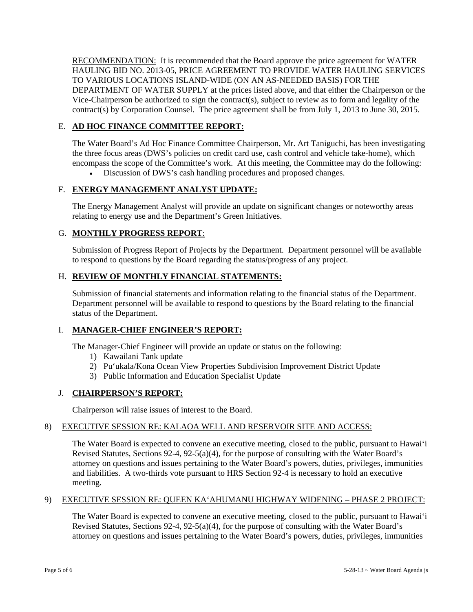RECOMMENDATION: It is recommended that the Board approve the price agreement for WATER HAULING BID NO. 2013-05, PRICE AGREEMENT TO PROVIDE WATER HAULING SERVICES TO VARIOUS LOCATIONS ISLAND-WIDE (ON AN AS-NEEDED BASIS) FOR THE DEPARTMENT OF WATER SUPPLY at the prices listed above, and that either the Chairperson or the Vice-Chairperson be authorized to sign the contract(s), subject to review as to form and legality of the contract(s) by Corporation Counsel. The price agreement shall be from July 1, 2013 to June 30, 2015.

#### E. **AD HOC FINANCE COMMITTEE REPORT:**

The Water Board's Ad Hoc Finance Committee Chairperson, Mr. Art Taniguchi, has been investigating the three focus areas (DWS's policies on credit card use, cash control and vehicle take-home), which encompass the scope of the Committee's work. At this meeting, the Committee may do the following:

Discussion of DWS's cash handling procedures and proposed changes.

## F. **ENERGY MANAGEMENT ANALYST UPDATE:**

The Energy Management Analyst will provide an update on significant changes or noteworthy areas relating to energy use and the Department's Green Initiatives.

## G. **MONTHLY PROGRESS REPORT**:

Submission of Progress Report of Projects by the Department. Department personnel will be available to respond to questions by the Board regarding the status/progress of any project.

# H. **REVIEW OF MONTHLY FINANCIAL STATEMENTS:**

Submission of financial statements and information relating to the financial status of the Department. Department personnel will be available to respond to questions by the Board relating to the financial status of the Department.

#### I. **MANAGER-CHIEF ENGINEER'S REPORT:**

The Manager-Chief Engineer will provide an update or status on the following:

- 1) Kawailani Tank update
- 2) Pu'ukala/Kona Ocean View Properties Subdivision Improvement District Update
- 3) Public Information and Education Specialist Update

# J. **CHAIRPERSON'S REPORT:**

Chairperson will raise issues of interest to the Board.

#### 8) EXECUTIVE SESSION RE: KALAOA WELL AND RESERVOIR SITE AND ACCESS:

The Water Board is expected to convene an executive meeting, closed to the public, pursuant to Hawai'i Revised Statutes, Sections 92-4, 92-5(a)(4), for the purpose of consulting with the Water Board's attorney on questions and issues pertaining to the Water Board's powers, duties, privileges, immunities and liabilities. A two-thirds vote pursuant to HRS Section 92-4 is necessary to hold an executive meeting.

#### 9) EXECUTIVE SESSION RE: QUEEN KA'AHUMANU HIGHWAY WIDENING – PHASE 2 PROJECT:

The Water Board is expected to convene an executive meeting, closed to the public, pursuant to Hawai'i Revised Statutes, Sections 92-4, 92-5(a)(4), for the purpose of consulting with the Water Board's attorney on questions and issues pertaining to the Water Board's powers, duties, privileges, immunities